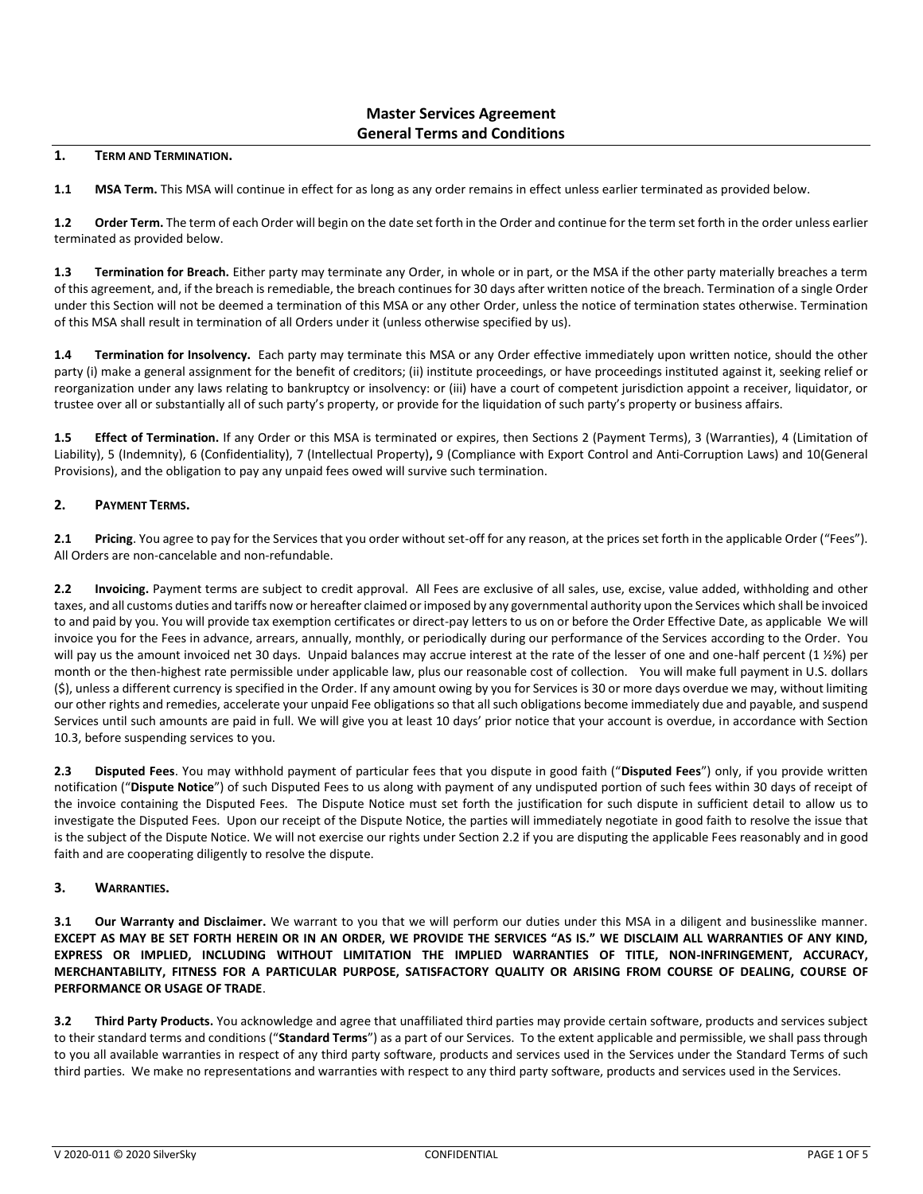# **Master Services Agreement General Terms and Conditions**

#### **1. TERM AND TERMINATION.**

**1.1 MSA Term.** This MSA will continue in effect for as long as any order remains in effect unless earlier terminated as provided below.

**1.2 Order Term.** The term of each Order will begin on the date set forth in the Order and continue for the term set forth in the order unless earlier terminated as provided below.

**1.3 Termination for Breach.** Either party may terminate any Order, in whole or in part, or the MSA if the other party materially breaches a term of this agreement, and, if the breach is remediable, the breach continues for 30 days after written notice of the breach. Termination of a single Order under this Section will not be deemed a termination of this MSA or any other Order, unless the notice of termination states otherwise. Termination of this MSA shall result in termination of all Orders under it (unless otherwise specified by us).

**1.4 Termination for Insolvency.** Each party may terminate this MSA or any Order effective immediately upon written notice, should the other party (i) make a general assignment for the benefit of creditors; (ii) institute proceedings, or have proceedings instituted against it, seeking relief or reorganization under any laws relating to bankruptcy or insolvency: or (iii) have a court of competent jurisdiction appoint a receiver, liquidator, or trustee over all or substantially all of such party's property, or provide for the liquidation of such party's property or business affairs.

**1.5 Effect of Termination.** If any Order or this MSA is terminated or expires, then Sections 2 (Payment Terms), 3 (Warranties), 4 (Limitation of Liability), 5 (Indemnity), 6 (Confidentiality), 7 (Intellectual Property)**,** 9 (Compliance with Export Control and Anti-Corruption Laws) and 10(General Provisions), and the obligation to pay any unpaid fees owed will survive such termination.

### **2. PAYMENT TERMS.**

**2.1 Pricing**. You agree to pay for the Services that you order without set-off for any reason, at the prices set forth in the applicable Order ("Fees"). All Orders are non-cancelable and non-refundable.

**2.2 Invoicing.** Payment terms are subject to credit approval. All Fees are exclusive of all sales, use, excise, value added, withholding and other taxes, and all customs duties and tariffs now or hereafter claimed or imposed by any governmental authority upon the Services which shall be invoiced to and paid by you. You will provide tax exemption certificates or direct-pay letters to us on or before the Order Effective Date, as applicable We will invoice you for the Fees in advance, arrears, annually, monthly, or periodically during our performance of the Services according to the Order. You will pay us the amount invoiced net 30 days. Unpaid balances may accrue interest at the rate of the lesser of one and one-half percent (1 1/2%) per month or the then-highest rate permissible under applicable law, plus our reasonable cost of collection. You will make full payment in U.S. dollars (\$), unless a different currency is specified in the Order. If any amount owing by you for Services is 30 or more days overdue we may, without limiting our other rights and remedies, accelerate your unpaid Fee obligations so that all such obligations become immediately due and payable, and suspend Services until such amounts are paid in full. We will give you at least 10 days' prior notice that your account is overdue, in accordance with Section 10.3, before suspending services to you.

**2.3 Disputed Fees**. You may withhold payment of particular fees that you dispute in good faith ("**Disputed Fees**") only, if you provide written notification ("**Dispute Notice**") of such Disputed Fees to us along with payment of any undisputed portion of such fees within 30 days of receipt of the invoice containing the Disputed Fees. The Dispute Notice must set forth the justification for such dispute in sufficient detail to allow us to investigate the Disputed Fees. Upon our receipt of the Dispute Notice, the parties will immediately negotiate in good faith to resolve the issue that is the subject of the Dispute Notice. We will not exercise our rights under Section 2.2 if you are disputing the applicable Fees reasonably and in good faith and are cooperating diligently to resolve the dispute.

### **3. WARRANTIES.**

**3.1 Our Warranty and Disclaimer.** We warrant to you that we will perform our duties under this MSA in a diligent and businesslike manner. **EXCEPT AS MAY BE SET FORTH HEREIN OR IN AN ORDER, WE PROVIDE THE SERVICES "AS IS." WE DISCLAIM ALL WARRANTIES OF ANY KIND, EXPRESS OR IMPLIED, INCLUDING WITHOUT LIMITATION THE IMPLIED WARRANTIES OF TITLE, NON-INFRINGEMENT, ACCURACY, MERCHANTABILITY, FITNESS FOR A PARTICULAR PURPOSE, SATISFACTORY QUALITY OR ARISING FROM COURSE OF DEALING, COURSE OF PERFORMANCE OR USAGE OF TRADE**.

**3.2 Third Party Products.** You acknowledge and agree that unaffiliated third parties may provide certain software, products and services subject to their standard terms and conditions ("**Standard Terms**") as a part of our Services. To the extent applicable and permissible, we shall pass through to you all available warranties in respect of any third party software, products and services used in the Services under the Standard Terms of such third parties. We make no representations and warranties with respect to any third party software, products and services used in the Services.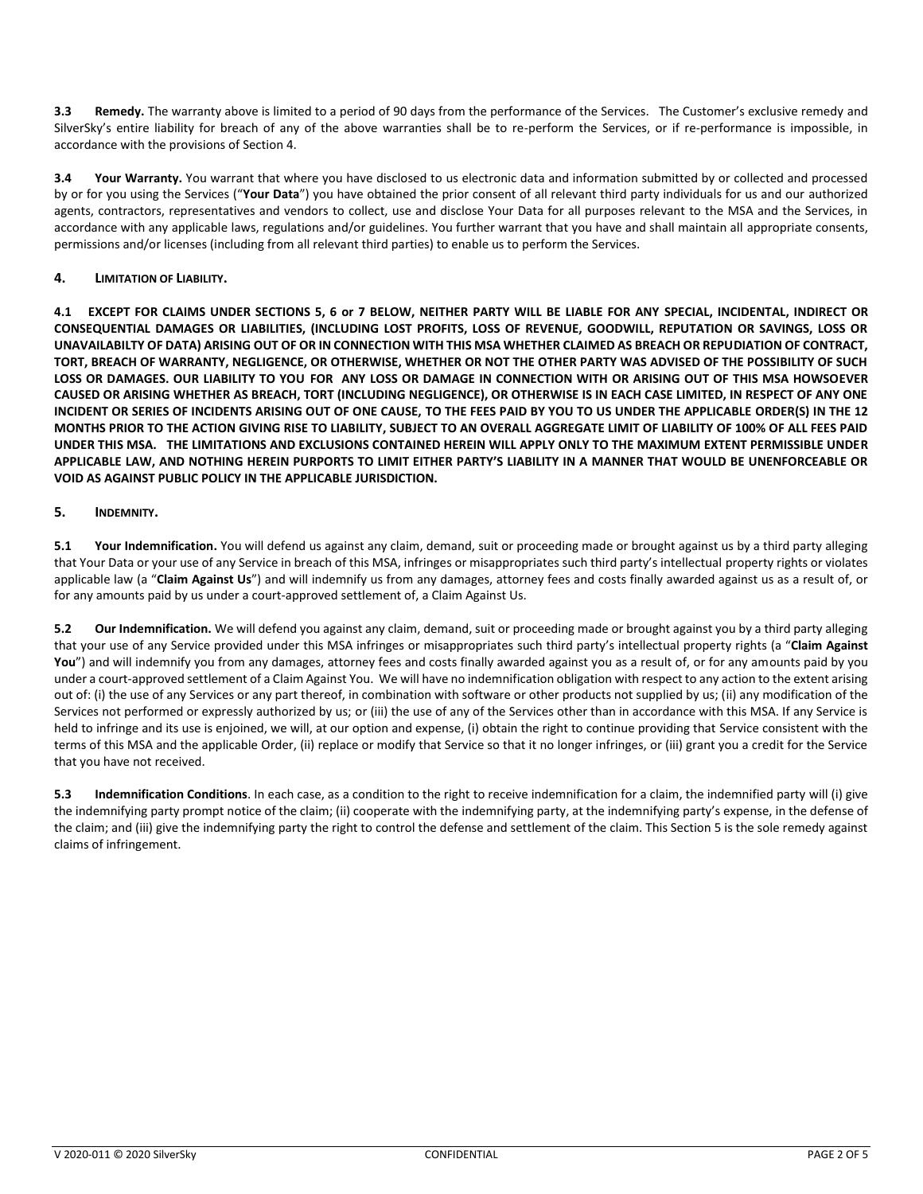**3.3 Remedy.** The warranty above is limited to a period of 90 days from the performance of the Services. The Customer's exclusive remedy and SilverSky's entire liability for breach of any of the above warranties shall be to re-perform the Services, or if re-performance is impossible, in accordance with the provisions of Section 4.

**3.4 Your Warranty.** You warrant that where you have disclosed to us electronic data and information submitted by or collected and processed by or for you using the Services ("**Your Data**") you have obtained the prior consent of all relevant third party individuals for us and our authorized agents, contractors, representatives and vendors to collect, use and disclose Your Data for all purposes relevant to the MSA and the Services, in accordance with any applicable laws, regulations and/or guidelines. You further warrant that you have and shall maintain all appropriate consents, permissions and/or licenses (including from all relevant third parties) to enable us to perform the Services.

### **4. LIMITATION OF LIABILITY.**

**4.1 EXCEPT FOR CLAIMS UNDER SECTIONS 5, 6 or 7 BELOW, NEITHER PARTY WILL BE LIABLE FOR ANY SPECIAL, INCIDENTAL, INDIRECT OR CONSEQUENTIAL DAMAGES OR LIABILITIES, (INCLUDING LOST PROFITS, LOSS OF REVENUE, GOODWILL, REPUTATION OR SAVINGS, LOSS OR UNAVAILABILTY OF DATA) ARISING OUT OF OR IN CONNECTION WITH THIS MSA WHETHER CLAIMED AS BREACH OR REPUDIATION OF CONTRACT, TORT, BREACH OF WARRANTY, NEGLIGENCE, OR OTHERWISE, WHETHER OR NOT THE OTHER PARTY WAS ADVISED OF THE POSSIBILITY OF SUCH LOSS OR DAMAGES. OUR LIABILITY TO YOU FOR ANY LOSS OR DAMAGE IN CONNECTION WITH OR ARISING OUT OF THIS MSA HOWSOEVER CAUSED OR ARISING WHETHER AS BREACH, TORT (INCLUDING NEGLIGENCE), OR OTHERWISE IS IN EACH CASE LIMITED, IN RESPECT OF ANY ONE INCIDENT OR SERIES OF INCIDENTS ARISING OUT OF ONE CAUSE, TO THE FEES PAID BY YOU TO US UNDER THE APPLICABLE ORDER(S) IN THE 12 MONTHS PRIOR TO THE ACTION GIVING RISE TO LIABILITY, SUBJECT TO AN OVERALL AGGREGATE LIMIT OF LIABILITY OF 100% OF ALL FEES PAID UNDER THIS MSA. THE LIMITATIONS AND EXCLUSIONS CONTAINED HEREIN WILL APPLY ONLY TO THE MAXIMUM EXTENT PERMISSIBLE UNDER APPLICABLE LAW, AND NOTHING HEREIN PURPORTS TO LIMIT EITHER PARTY'S LIABILITY IN A MANNER THAT WOULD BE UNENFORCEABLE OR VOID AS AGAINST PUBLIC POLICY IN THE APPLICABLE JURISDICTION.**

### **5. INDEMNITY.**

5.1 Your Indemnification. You will defend us against any claim, demand, suit or proceeding made or brought against us by a third party alleging that Your Data or your use of any Service in breach of this MSA, infringes or misappropriates such third party's intellectual property rights or violates applicable law (a "**Claim Against Us**") and will indemnify us from any damages, attorney fees and costs finally awarded against us as a result of, or for any amounts paid by us under a court-approved settlement of, a Claim Against Us.

**5.2 Our Indemnification.** We will defend you against any claim, demand, suit or proceeding made or brought against you by a third party alleging that your use of any Service provided under this MSA infringes or misappropriates such third party's intellectual property rights (a "**Claim Against**  You") and will indemnify you from any damages, attorney fees and costs finally awarded against you as a result of, or for any amounts paid by you under a court-approved settlement of a Claim Against You. We will have no indemnification obligation with respect to any action to the extent arising out of: (i) the use of any Services or any part thereof, in combination with software or other products not supplied by us; (ii) any modification of the Services not performed or expressly authorized by us; or (iii) the use of any of the Services other than in accordance with this MSA. If any Service is held to infringe and its use is enjoined, we will, at our option and expense, (i) obtain the right to continue providing that Service consistent with the terms of this MSA and the applicable Order, (ii) replace or modify that Service so that it no longer infringes, or (iii) grant you a credit for the Service that you have not received.

**5.3 Indemnification Conditions**. In each case, as a condition to the right to receive indemnification for a claim, the indemnified party will (i) give the indemnifying party prompt notice of the claim; (ii) cooperate with the indemnifying party, at the indemnifying party's expense, in the defense of the claim; and (iii) give the indemnifying party the right to control the defense and settlement of the claim. This Section 5 is the sole remedy against claims of infringement.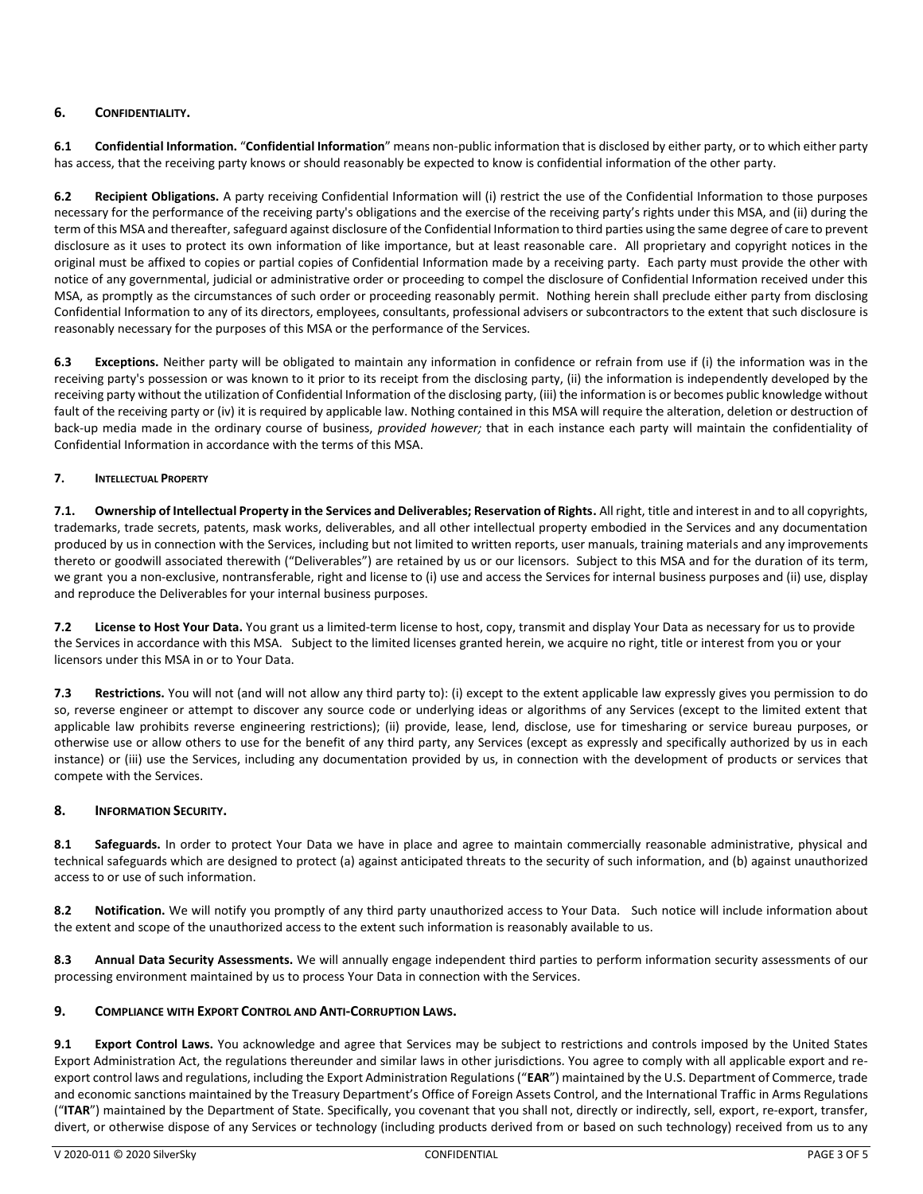## **6. CONFIDENTIALITY.**

**6.1 Confidential Information.** "**Confidential Information**" means non-public information that is disclosed by either party, or to which either party has access, that the receiving party knows or should reasonably be expected to know is confidential information of the other party.

**6.2 Recipient Obligations.** A party receiving Confidential Information will (i) restrict the use of the Confidential Information to those purposes necessary for the performance of the receiving party's obligations and the exercise of the receiving party's rights under this MSA, and (ii) during the term of this MSA and thereafter, safeguard against disclosure of the Confidential Information to third parties using the same degree of care to prevent disclosure as it uses to protect its own information of like importance, but at least reasonable care. All proprietary and copyright notices in the original must be affixed to copies or partial copies of Confidential Information made by a receiving party. Each party must provide the other with notice of any governmental, judicial or administrative order or proceeding to compel the disclosure of Confidential Information received under this MSA, as promptly as the circumstances of such order or proceeding reasonably permit. Nothing herein shall preclude either party from disclosing Confidential Information to any of its directors, employees, consultants, professional advisers or subcontractors to the extent that such disclosure is reasonably necessary for the purposes of this MSA or the performance of the Services.

**6.3 Exceptions.** Neither party will be obligated to maintain any information in confidence or refrain from use if (i) the information was in the receiving party's possession or was known to it prior to its receipt from the disclosing party, (ii) the information is independently developed by the receiving party without the utilization of Confidential Information of the disclosing party, (iii) the information is or becomes public knowledge without fault of the receiving party or (iv) it is required by applicable law. Nothing contained in this MSA will require the alteration, deletion or destruction of back-up media made in the ordinary course of business, *provided however;* that in each instance each party will maintain the confidentiality of Confidential Information in accordance with the terms of this MSA.

### **7. INTELLECTUAL PROPERTY**

**7.1. Ownership of Intellectual Property in the Services and Deliverables; Reservation of Rights.** All right, title and interest in and to all copyrights, trademarks, trade secrets, patents, mask works, deliverables, and all other intellectual property embodied in the Services and any documentation produced by us in connection with the Services, including but not limited to written reports, user manuals, training materials and any improvements thereto or goodwill associated therewith ("Deliverables") are retained by us or our licensors. Subject to this MSA and for the duration of its term, we grant you a non-exclusive, nontransferable, right and license to (i) use and access the Services for internal business purposes and (ii) use, display and reproduce the Deliverables for your internal business purposes.

**7.2 License to Host Your Data.** You grant us a limited-term license to host, copy, transmit and display Your Data as necessary for us to provide the Services in accordance with this MSA. Subject to the limited licenses granted herein, we acquire no right, title or interest from you or your licensors under this MSA in or to Your Data.

**7.3 Restrictions.** You will not (and will not allow any third party to): (i) except to the extent applicable law expressly gives you permission to do so, reverse engineer or attempt to discover any source code or underlying ideas or algorithms of any Services (except to the limited extent that applicable law prohibits reverse engineering restrictions); (ii) provide, lease, lend, disclose, use for timesharing or service bureau purposes, or otherwise use or allow others to use for the benefit of any third party, any Services (except as expressly and specifically authorized by us in each instance) or (iii) use the Services, including any documentation provided by us, in connection with the development of products or services that compete with the Services.

### **8. INFORMATION SECURITY.**

**8.1 Safeguards.** In order to protect Your Data we have in place and agree to maintain commercially reasonable administrative, physical and technical safeguards which are designed to protect (a) against anticipated threats to the security of such information, and (b) against unauthorized access to or use of such information.

**8.2 Notification.** We will notify you promptly of any third party unauthorized access to Your Data. Such notice will include information about the extent and scope of the unauthorized access to the extent such information is reasonably available to us.

**8.3 Annual Data Security Assessments.** We will annually engage independent third parties to perform information security assessments of our processing environment maintained by us to process Your Data in connection with the Services.

### **9. COMPLIANCE WITH EXPORT CONTROL AND ANTI-CORRUPTION LAWS.**

**9.1 Export Control Laws.** You acknowledge and agree that Services may be subject to restrictions and controls imposed by the United States Export Administration Act, the regulations thereunder and similar laws in other jurisdictions. You agree to comply with all applicable export and reexport control laws and regulations, including the Export Administration Regulations ("**EAR**") maintained by the U.S. Department of Commerce, trade and economic sanctions maintained by the Treasury Department's Office of Foreign Assets Control, and the International Traffic in Arms Regulations ("**ITAR**") maintained by the Department of State. Specifically, you covenant that you shall not, directly or indirectly, sell, export, re-export, transfer, divert, or otherwise dispose of any Services or technology (including products derived from or based on such technology) received from us to any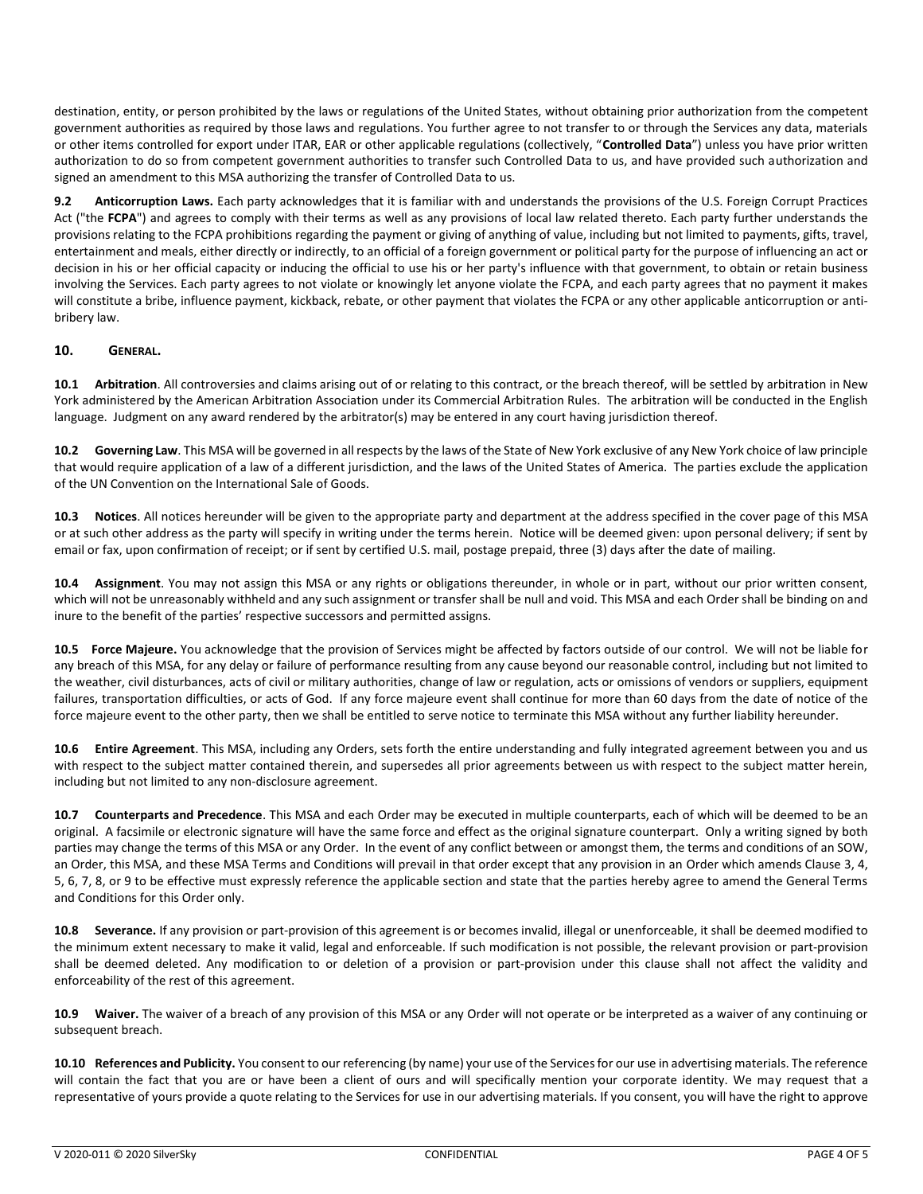destination, entity, or person prohibited by the laws or regulations of the United States, without obtaining prior authorization from the competent government authorities as required by those laws and regulations. You further agree to not transfer to or through the Services any data, materials or other items controlled for export under ITAR, EAR or other applicable regulations (collectively, "**Controlled Data**") unless you have prior written authorization to do so from competent government authorities to transfer such Controlled Data to us, and have provided such authorization and signed an amendment to this MSA authorizing the transfer of Controlled Data to us.

**9.2 Anticorruption Laws.** Each party acknowledges that it is familiar with and understands the provisions of the U.S. Foreign Corrupt Practices Act ("the **FCPA**") and agrees to comply with their terms as well as any provisions of local law related thereto. Each party further understands the provisions relating to the FCPA prohibitions regarding the payment or giving of anything of value, including but not limited to payments, gifts, travel, entertainment and meals, either directly or indirectly, to an official of a foreign government or political party for the purpose of influencing an act or decision in his or her official capacity or inducing the official to use his or her party's influence with that government, to obtain or retain business involving the Services. Each party agrees to not violate or knowingly let anyone violate the FCPA, and each party agrees that no payment it makes will constitute a bribe, influence payment, kickback, rebate, or other payment that violates the FCPA or any other applicable anticorruption or antibribery law.

### **10. GENERAL.**

**10.1 Arbitration**. All controversies and claims arising out of or relating to this contract, or the breach thereof, will be settled by arbitration in New York administered by the American Arbitration Association under its Commercial Arbitration Rules. The arbitration will be conducted in the English language. Judgment on any award rendered by the arbitrator(s) may be entered in any court having jurisdiction thereof.

**10.2 Governing Law**. This MSA will be governed in all respects by the laws of the State of New York exclusive of any New York choice of law principle that would require application of a law of a different jurisdiction, and the laws of the United States of America. The parties exclude the application of the UN Convention on the International Sale of Goods.

**10.3 Notices**. All notices hereunder will be given to the appropriate party and department at the address specified in the cover page of this MSA or at such other address as the party will specify in writing under the terms herein. Notice will be deemed given: upon personal delivery; if sent by email or fax, upon confirmation of receipt; or if sent by certified U.S. mail, postage prepaid, three (3) days after the date of mailing.

**10.4 Assignment**. You may not assign this MSA or any rights or obligations thereunder, in whole or in part, without our prior written consent, which will not be unreasonably withheld and any such assignment or transfer shall be null and void. This MSA and each Order shall be binding on and inure to the benefit of the parties' respective successors and permitted assigns.

**10.5 Force Majeure.** You acknowledge that the provision of Services might be affected by factors outside of our control. We will not be liable for any breach of this MSA, for any delay or failure of performance resulting from any cause beyond our reasonable control, including but not limited to the weather, civil disturbances, acts of civil or military authorities, change of law or regulation, acts or omissions of vendors or suppliers, equipment failures, transportation difficulties, or acts of God. If any force majeure event shall continue for more than 60 days from the date of notice of the force majeure event to the other party, then we shall be entitled to serve notice to terminate this MSA without any further liability hereunder.

**10.6 Entire Agreement**. This MSA, including any Orders, sets forth the entire understanding and fully integrated agreement between you and us with respect to the subject matter contained therein, and supersedes all prior agreements between us with respect to the subject matter herein, including but not limited to any non-disclosure agreement.

**10.7 Counterparts and Precedence**. This MSA and each Order may be executed in multiple counterparts, each of which will be deemed to be an original. A facsimile or electronic signature will have the same force and effect as the original signature counterpart. Only a writing signed by both parties may change the terms of this MSA or any Order. In the event of any conflict between or amongst them, the terms and conditions of an SOW, an Order, this MSA, and these MSA Terms and Conditions will prevail in that order except that any provision in an Order which amends Clause 3, 4, 5, 6, 7, 8, or 9 to be effective must expressly reference the applicable section and state that the parties hereby agree to amend the General Terms and Conditions for this Order only.

**10.8 Severance.** If any provision or part-provision of this agreement is or becomes invalid, illegal or unenforceable, it shall be deemed modified to the minimum extent necessary to make it valid, legal and enforceable. If such modification is not possible, the relevant provision or part-provision shall be deemed deleted. Any modification to or deletion of a provision or part-provision under this clause shall not affect the validity and enforceability of the rest of this agreement.

**10.9 Waiver.** The waiver of a breach of any provision of this MSA or any Order will not operate or be interpreted as a waiver of any continuing or subsequent breach.

**10.10 References and Publicity.** You consent to our referencing (by name) your use of the Services for our use in advertising materials. The reference will contain the fact that you are or have been a client of ours and will specifically mention your corporate identity. We may request that a representative of yours provide a quote relating to the Services for use in our advertising materials. If you consent, you will have the right to approve